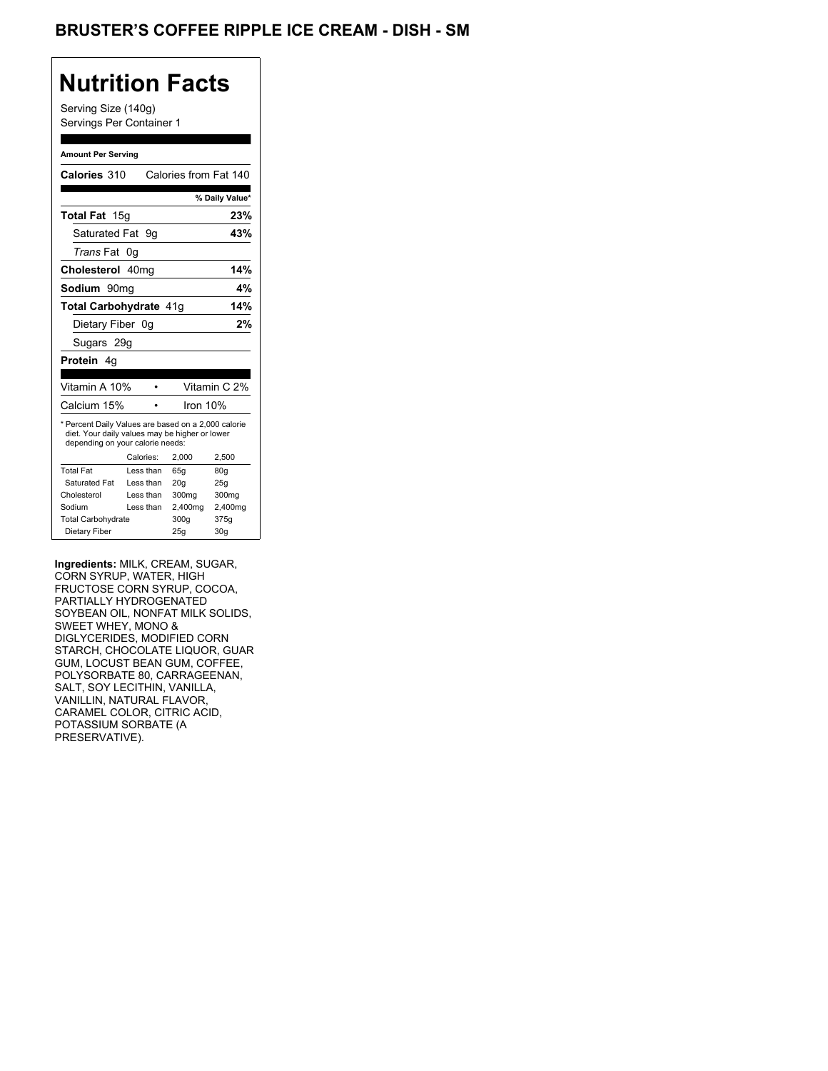## BRUSTER'S COFFEE RIPPLE ICE CREAM - DISH - SM

## **Nutrition Facts**

Serving Size (140g) Servings Per Container 1

#### **Amount Per Serving**

| Calories 310                                                                                                                              |           | Calories from Fat 140 |                |
|-------------------------------------------------------------------------------------------------------------------------------------------|-----------|-----------------------|----------------|
|                                                                                                                                           |           |                       | % Daily Value* |
| Total Fat 15g                                                                                                                             |           |                       | 23%            |
| Saturated Fat                                                                                                                             | 9g        |                       | 43%            |
| <i>Trans</i> Fat                                                                                                                          | 0g        |                       |                |
| Cholesterol 40mg                                                                                                                          |           |                       | 14%            |
| Sodium 90mq                                                                                                                               |           |                       | 4%             |
| Total Carbohydrate 41g                                                                                                                    |           |                       | 14%            |
| Dietary Fiber 0g                                                                                                                          |           |                       | 2%             |
| Sugars 29g                                                                                                                                |           |                       |                |
| <b>Protein</b> 4q                                                                                                                         |           |                       |                |
|                                                                                                                                           |           |                       |                |
| Vitamin A 10%                                                                                                                             |           |                       | Vitamin C 2%   |
| Calcium 15%                                                                                                                               |           | Iron 10%              |                |
| * Percent Daily Values are based on a 2,000 calorie<br>diet. Your daily values may be higher or lower<br>depending on your calorie needs: |           |                       |                |
|                                                                                                                                           | Calories: | 2,000                 | 2,500          |
| <b>Total Fat</b>                                                                                                                          | Less than | 65q                   | 80q            |
| Saturated Fat                                                                                                                             | Less than | 20q                   | 25g            |
| Cholesterol                                                                                                                               | Less than | 300mg                 | 300mg          |
| Sodium                                                                                                                                    | Less than | 2,400mg               | 2,400mg        |
|                                                                                                                                           |           |                       |                |
| <b>Total Carbohydrate</b>                                                                                                                 |           | 300g                  | 375g           |

**Ingredients:** MILK, CREAM, SUGAR, CORN SYRUP, WATER, HIGH FRUCTOSE CORN SYRUP, COCOA, PARTIALLY HYDROGENATED SOYBEAN OIL, NONFAT MILK SOLIDS, SWEET WHEY, MONO & DIGLYCERIDES, MODIFIED CORN STARCH, CHOCOLATE LIQUOR, GUAR GUM, LOCUST BEAN GUM, COFFEE, POLYSORBATE 80, CARRAGEENAN, SALT, SOY LECITHIN, VANILLA, VANILLIN, NATURAL FLAVOR, CARAMEL COLOR, CITRIC ACID, POTASSIUM SORBATE (A PRESERVATIVE).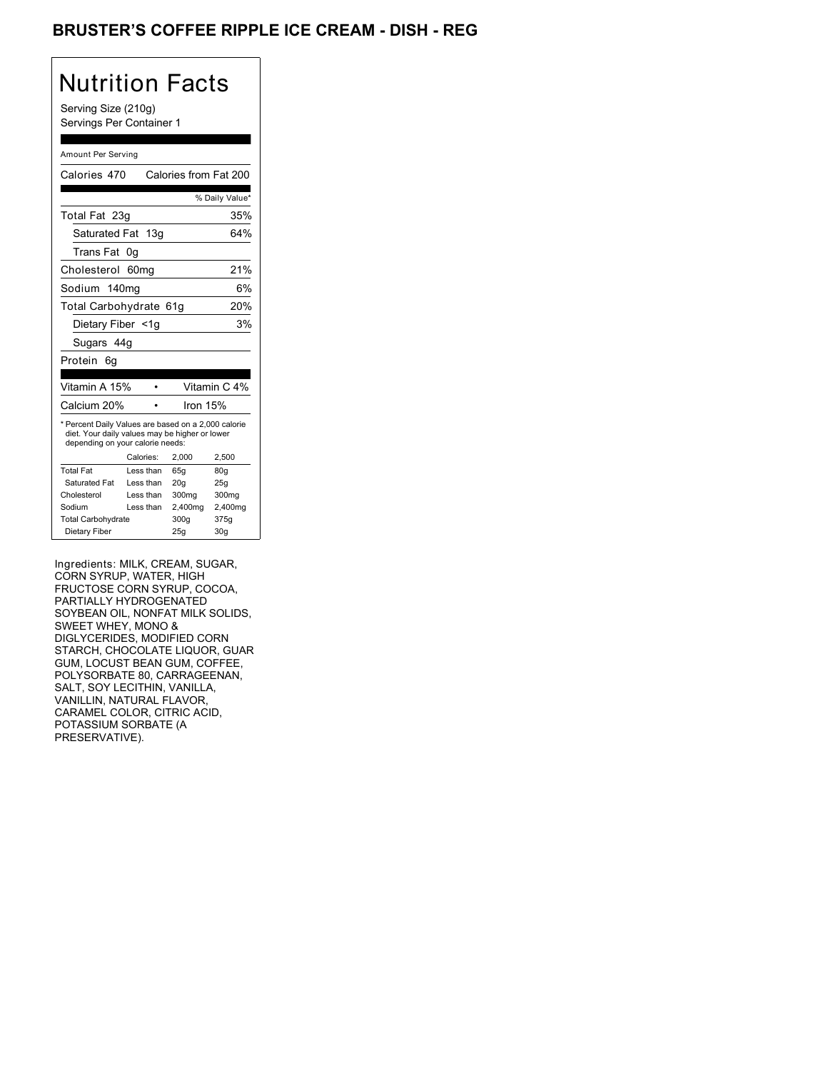## BRUSTER'S COFFEE RIPPLE ICE CREAM - DISH - REG

# Nutrition Facts

Serving Size (210g) Servings Per Container 1

### Amount Per Serving

| Calories 470                                                                                                                              |                  | Calories from Fat 200 |                |
|-------------------------------------------------------------------------------------------------------------------------------------------|------------------|-----------------------|----------------|
|                                                                                                                                           |                  |                       | % Daily Value* |
| Total Fat 23g                                                                                                                             |                  |                       | 35%            |
| Saturated Fat 13g                                                                                                                         |                  |                       | 64%            |
| Trans Fat                                                                                                                                 | 0g               |                       |                |
| Cholesterol                                                                                                                               | 60 <sub>mq</sub> |                       | 21%            |
| Sodium 140mg                                                                                                                              |                  |                       | 6%             |
| Total Carbohydrate 61g                                                                                                                    |                  |                       | 20%            |
| Dietary Fiber <1q                                                                                                                         |                  |                       | 3%             |
| Sugars 44g                                                                                                                                |                  |                       |                |
| Protein<br>6a                                                                                                                             |                  |                       |                |
|                                                                                                                                           |                  |                       |                |
| Vitamin A 15%                                                                                                                             |                  |                       | Vitamin C 4%   |
| Calcium 20%                                                                                                                               |                  | Iron 15%              |                |
| * Percent Daily Values are based on a 2,000 calorie<br>diet. Your daily values may be higher or lower<br>depending on your calorie needs: |                  |                       |                |
|                                                                                                                                           | Calories:        | 2.000                 | 2.500          |
| <b>Total Fat</b>                                                                                                                          | Less than        | 65q                   | 80q            |
| Saturated Fat                                                                                                                             | Less than        | 20q                   | 25g            |
| Cholesterol                                                                                                                               | Less than        | 300mg                 | 300mg          |
| Sodium                                                                                                                                    | Less than        | 2,400mg               | 2,400mg        |
| <b>Total Carbohydrate</b>                                                                                                                 |                  | 300g                  | 375g           |
| Dietary Fiber                                                                                                                             |                  | 25q                   | 30q            |

Ingredients: MILK, CREAM, SUGAR, CORN SYRUP, WATER, HIGH FRUCTOSE CORN SYRUP, COCOA, PARTIALLY HYDROGENATED SOYBEAN OIL, NONFAT MILK SOLIDS, SWEET WHEY, MONO & DIGLYCERIDES, MODIFIED CORN STARCH, CHOCOLATE LIQUOR, GUAR GUM, LOCUST BEAN GUM, COFFEE, POLYSORBATE 80, CARRAGEENAN, SALT, SOY LECITHIN, VANILLA, VANILLIN, NATURAL FLAVOR, CARAMEL COLOR, CITRIC ACID, POTASSIUM SORBATE (A PRESERVATIVE).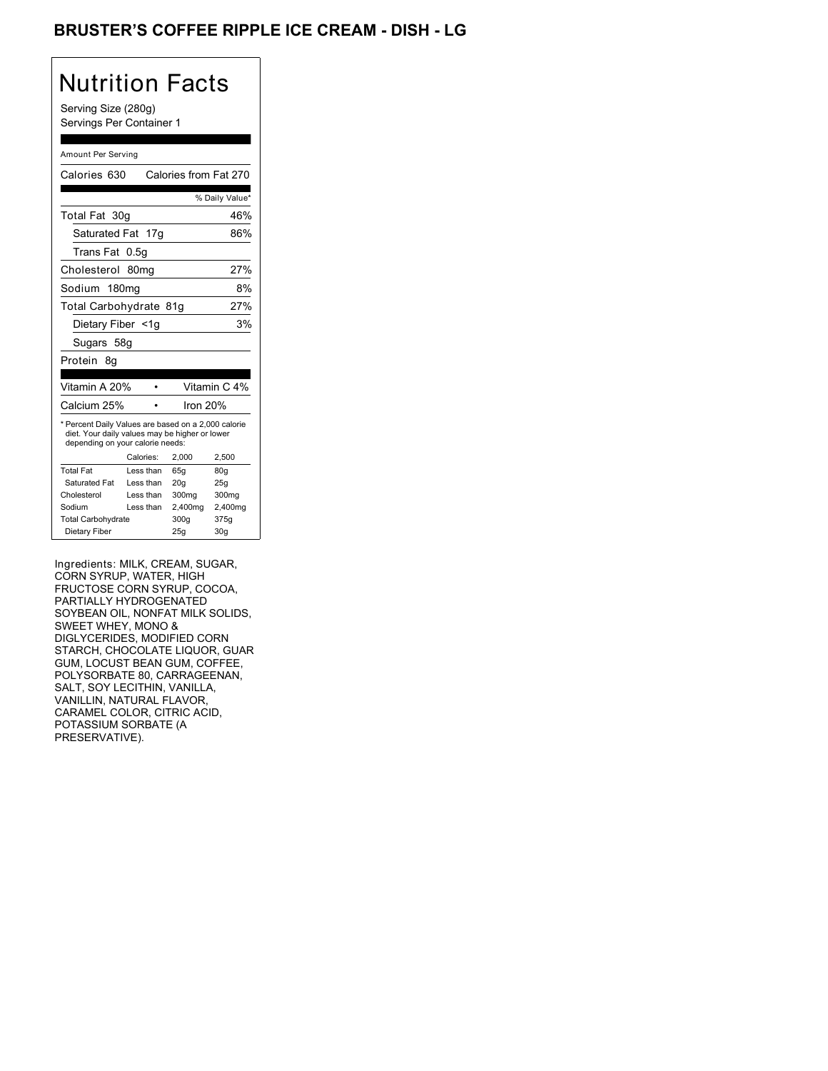## BRUSTER'S COFFEE RIPPLE ICE CREAM - DISH - LG

# Nutrition Facts

Serving Size (280g) Servings Per Container 1

#### Amount Per Serving

| Calories 630                                                                                                                              |                  | Calories from Fat 270 |                 |
|-------------------------------------------------------------------------------------------------------------------------------------------|------------------|-----------------------|-----------------|
|                                                                                                                                           |                  |                       | % Daily Value*  |
| Total Fat 30g                                                                                                                             |                  |                       | 46%             |
| Saturated Fat 17g                                                                                                                         |                  |                       | 86%             |
| Trans Fat                                                                                                                                 | 0.5g             |                       |                 |
| Cholesterol                                                                                                                               | 80 <sub>mq</sub> |                       | 27%             |
| Sodium 180mg                                                                                                                              |                  |                       | 8%              |
| Total Carbohydrate 81g                                                                                                                    |                  |                       | 27%             |
| Dietary Fiber <1g                                                                                                                         |                  |                       | 3%              |
|                                                                                                                                           | Sugars 58g       |                       |                 |
| Protein 8q                                                                                                                                |                  |                       |                 |
|                                                                                                                                           |                  |                       |                 |
| Vitamin A 20%                                                                                                                             |                  |                       | Vitamin C 4%    |
| Calcium 25%                                                                                                                               |                  | lron 20%              |                 |
| * Percent Daily Values are based on a 2,000 calorie<br>diet. Your daily values may be higher or lower<br>depending on your calorie needs: |                  |                       |                 |
|                                                                                                                                           | Calories:        | 2.000                 | 2,500           |
| <b>Total Fat</b>                                                                                                                          | Less than        | 65q                   | 80g             |
| Saturated Fat                                                                                                                             | Less than        | 20q                   | 25q             |
| Cholesterol                                                                                                                               | Less than        | 300mg                 | 300mg           |
| Sodium                                                                                                                                    | Less than        | 2,400mg               | 2,400mg         |
| <b>Total Carbohydrate</b>                                                                                                                 |                  | 300g                  | 375g            |
| Dietary Fiber                                                                                                                             |                  | 25q                   | 30 <sub>q</sub> |

Ingredients: MILK, CREAM, SUGAR, CORN SYRUP, WATER, HIGH FRUCTOSE CORN SYRUP, COCOA, PARTIALLY HYDROGENATED SOYBEAN OIL, NONFAT MILK SOLIDS, SWEET WHEY, MONO & DIGLYCERIDES, MODIFIED CORN STARCH, CHOCOLATE LIQUOR, GUAR GUM, LOCUST BEAN GUM, COFFEE, POLYSORBATE 80, CARRAGEENAN, SALT, SOY LECITHIN, VANILLA, VANILLIN, NATURAL FLAVOR, CARAMEL COLOR, CITRIC ACID, POTASSIUM SORBATE (A PRESERVATIVE).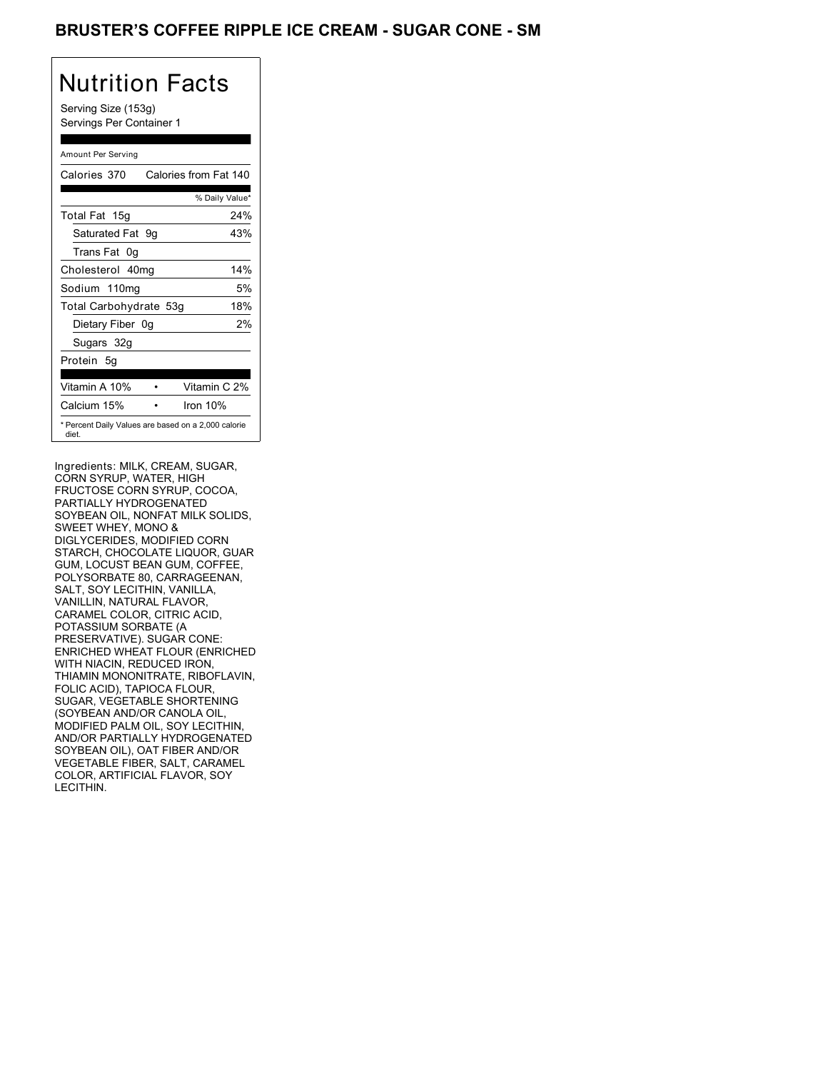### BRUSTER'S COFFEE RIPPLE ICE CREAM - SUGAR CONE - SM

# Nutrition Facts

Serving Size (153g) Servings Per Container 1

### Amount Per Serving

| Calories 370           | Calories from Fat 140                               |
|------------------------|-----------------------------------------------------|
|                        | % Daily Value*                                      |
| Total Fat 15g          | 24%                                                 |
| Saturated Fat 9q       | 43%                                                 |
| Trans Fat 0q           |                                                     |
| Cholesterol 40mg       | 14%                                                 |
| Sodium 110mg           | 5%                                                  |
| Total Carbohydrate 53g | 18%                                                 |
| Dietary Fiber 0g       | 2%                                                  |
| Sugars 32g             |                                                     |
| Protein 5q             |                                                     |
| Vitamin A 10%          | Vitamin C 2%                                        |
| Calcium 15%            | Iron $10%$                                          |
| diet.                  | * Percent Daily Values are based on a 2,000 calorie |

Ingredients: MILK, CREAM, SUGAR, CORN SYRUP, WATER, HIGH FRUCTOSE CORN SYRUP, COCOA, PARTIALLY HYDROGENATED SOYBEAN OIL, NONFAT MILK SOLIDS, SWEET WHEY, MONO & DIGLYCERIDES, MODIFIED CORN STARCH, CHOCOLATE LIQUOR, GUAR GUM, LOCUST BEAN GUM, COFFEE, POLYSORBATE 80, CARRAGEENAN, SALT, SOY LECITHIN, VANILLA, VANILLIN, NATURAL FLAVOR, CARAMEL COLOR, CITRIC ACID, POTASSIUM SORBATE (A PRESERVATIVE). SUGAR CONE: ENRICHED WHEAT FLOUR (ENRICHED WITH NIACIN, REDUCED IRON, THIAMIN MONONITRATE, RIBOFLAVIN, FOLIC ACID), TAPIOCA FLOUR, SUGAR, VEGETABLE SHORTENING (SOYBEAN AND/OR CANOLA OIL, MODIFIED PALM OIL, SOY LECITHIN, AND/OR PARTIALLY HYDROGENATED SOYBEAN OIL), OAT FIBER AND/OR VEGETABLE FIBER, SALT, CARAMEL COLOR, ARTIFICIAL FLAVOR, SOY LECITHIN.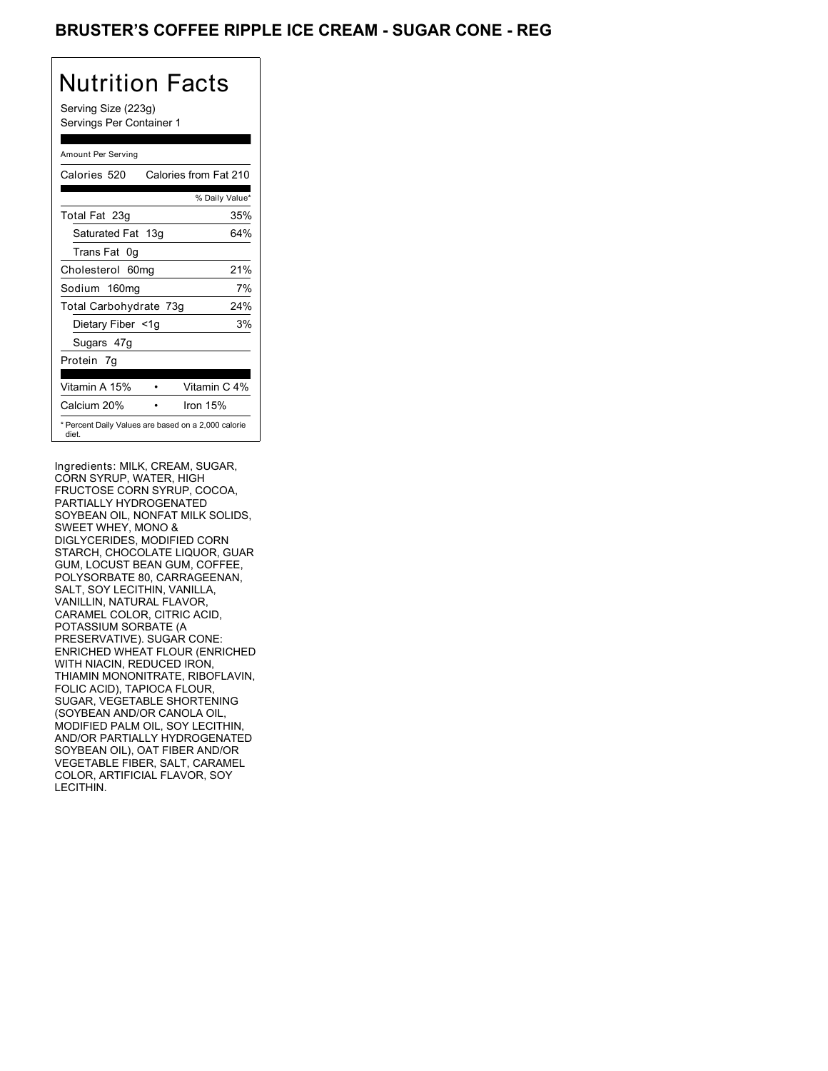## BRUSTER'S COFFEE RIPPLE ICE CREAM - SUGAR CONE - REG

# Nutrition Facts

Serving Size (223g) Servings Per Container 1

### Amount Per Serving

| Calories 520           | Calories from Fat 210                               |
|------------------------|-----------------------------------------------------|
|                        | % Daily Value*                                      |
| Total Fat 23g          | 35%                                                 |
| Saturated Fat 13g      | 64%                                                 |
| Trans Fat 0q           |                                                     |
| Cholesterol 60mg       | 21%                                                 |
| Sodium 160mg           | 7%                                                  |
| Total Carbohydrate 73g | 24%                                                 |
| Dietary Fiber <1g      | 3%                                                  |
| Sugars 47g             |                                                     |
| Protein 7q             |                                                     |
| Vitamin A 15%          | Vitamin C 4%                                        |
| Calcium 20%            | Iron $15%$                                          |
| diet.                  | * Percent Daily Values are based on a 2,000 calorie |

Ingredients: MILK, CREAM, SUGAR, CORN SYRUP, WATER, HIGH FRUCTOSE CORN SYRUP, COCOA, PARTIALLY HYDROGENATED SOYBEAN OIL, NONFAT MILK SOLIDS, SWEET WHEY, MONO & DIGLYCERIDES, MODIFIED CORN STARCH, CHOCOLATE LIQUOR, GUAR GUM, LOCUST BEAN GUM, COFFEE, POLYSORBATE 80, CARRAGEENAN, SALT, SOY LECITHIN, VANILLA, VANILLIN, NATURAL FLAVOR, CARAMEL COLOR, CITRIC ACID, POTASSIUM SORBATE (A PRESERVATIVE). SUGAR CONE: ENRICHED WHEAT FLOUR (ENRICHED WITH NIACIN, REDUCED IRON, THIAMIN MONONITRATE, RIBOFLAVIN, FOLIC ACID), TAPIOCA FLOUR, SUGAR, VEGETABLE SHORTENING (SOYBEAN AND/OR CANOLA OIL, MODIFIED PALM OIL, SOY LECITHIN, AND/OR PARTIALLY HYDROGENATED SOYBEAN OIL), OAT FIBER AND/OR VEGETABLE FIBER, SALT, CARAMEL COLOR, ARTIFICIAL FLAVOR, SOY LECITHIN.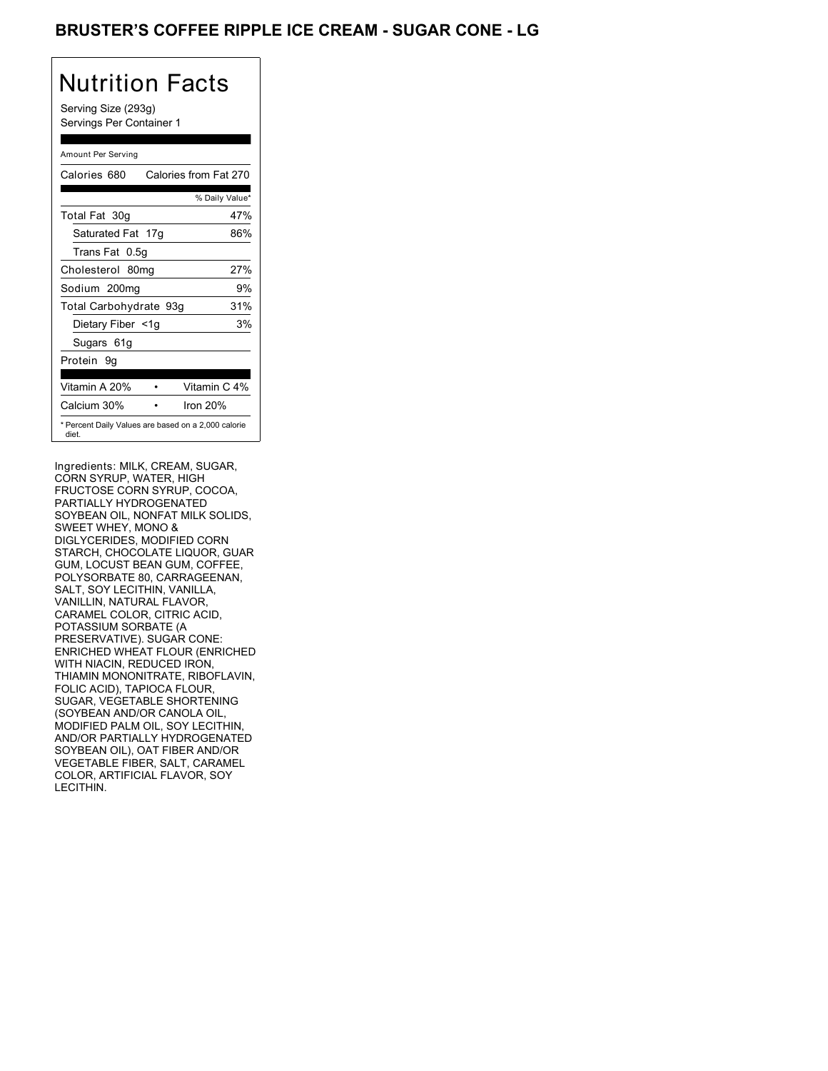## BRUSTER'S COFFEE RIPPLE ICE CREAM - SUGAR CONE - LG

# Nutrition Facts

Serving Size (293g) Servings Per Container 1

### Amount Per Serving

| Calories 680           | Calories from Fat 270                               |
|------------------------|-----------------------------------------------------|
|                        | % Daily Value*                                      |
| Total Fat 30g          | 47%                                                 |
| Saturated Fat 17g      | 86%                                                 |
| Trans Fat 0.5g         |                                                     |
| Cholesterol 80mg       | 27%                                                 |
| Sodium 200mg           | 9%                                                  |
| Total Carbohydrate 93g | 31%                                                 |
| Dietary Fiber <1g      | 3%                                                  |
| Sugars 61g             |                                                     |
| Protein 9q             |                                                     |
| Vitamin A 20%          | Vitamin C 4%                                        |
| Calcium 30%            | Iron $20%$                                          |
| diet.                  | * Percent Daily Values are based on a 2,000 calorie |

Ingredients: MILK, CREAM, SUGAR, CORN SYRUP, WATER, HIGH FRUCTOSE CORN SYRUP, COCOA, PARTIALLY HYDROGENATED SOYBEAN OIL, NONFAT MILK SOLIDS, SWEET WHEY, MONO & DIGLYCERIDES, MODIFIED CORN STARCH, CHOCOLATE LIQUOR, GUAR GUM, LOCUST BEAN GUM, COFFEE, POLYSORBATE 80, CARRAGEENAN, SALT, SOY LECITHIN, VANILLA, VANILLIN, NATURAL FLAVOR, CARAMEL COLOR, CITRIC ACID, POTASSIUM SORBATE (A PRESERVATIVE). SUGAR CONE: ENRICHED WHEAT FLOUR (ENRICHED WITH NIACIN, REDUCED IRON, THIAMIN MONONITRATE, RIBOFLAVIN, FOLIC ACID), TAPIOCA FLOUR, SUGAR, VEGETABLE SHORTENING (SOYBEAN AND/OR CANOLA OIL, MODIFIED PALM OIL, SOY LECITHIN, AND/OR PARTIALLY HYDROGENATED SOYBEAN OIL), OAT FIBER AND/OR VEGETABLE FIBER, SALT, CARAMEL COLOR, ARTIFICIAL FLAVOR, SOY LECITHIN.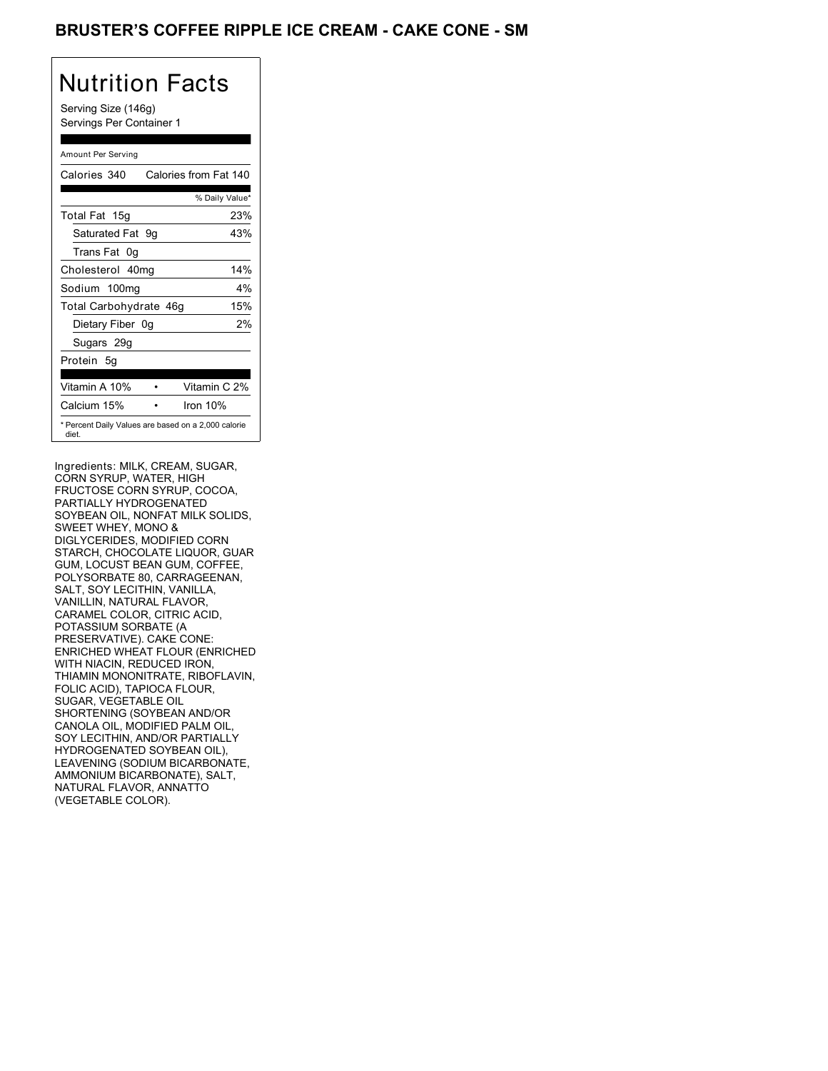## BRUSTER'S COFFEE RIPPLE ICE CREAM - CAKE CONE - SM

## Nutrition Facts

Serving Size (146g) Servings Per Container 1

### Amount Per Serving

| Calories 340           | Calories from Fat 140                               |
|------------------------|-----------------------------------------------------|
|                        | % Daily Value*                                      |
| Total Fat 15g          | 23%                                                 |
| Saturated Fat 9g       | 43%                                                 |
| Trans Fat 0q           |                                                     |
| Cholesterol 40mg       | 14%                                                 |
| Sodium 100mg           | $4\%$                                               |
| Total Carbohydrate 46g | 15%                                                 |
| Dietary Fiber 0g       | 2%                                                  |
| Sugars 29g             |                                                     |
| Protein 5q             |                                                     |
| Vitamin A 10%          | Vitamin C 2%                                        |
| Calcium 15%            | Iron $10%$                                          |
| diet.                  | * Percent Daily Values are based on a 2,000 calorie |

Ingredients: MILK, CREAM, SUGAR, CORN SYRUP, WATER, HIGH FRUCTOSE CORN SYRUP, COCOA, PARTIALLY HYDROGENATED SOYBEAN OIL, NONFAT MILK SOLIDS, SWEET WHEY, MONO & DIGLYCERIDES, MODIFIED CORN STARCH, CHOCOLATE LIQUOR, GUAR GUM, LOCUST BEAN GUM, COFFEE, POLYSORBATE 80, CARRAGEENAN, SALT, SOY LECITHIN, VANILLA, VANILLIN, NATURAL FLAVOR, CARAMEL COLOR, CITRIC ACID, POTASSIUM SORBATE (A PRESERVATIVE). CAKE CONE: ENRICHED WHEAT FLOUR (ENRICHED WITH NIACIN, REDUCED IRON, THIAMIN MONONITRATE, RIBOFLAVIN, FOLIC ACID), TAPIOCA FLOUR, SUGAR, VEGETABLE OIL SHORTENING (SOYBEAN AND/OR CANOLA OIL, MODIFIED PALM OIL, SOY LECITHIN, AND/OR PARTIALLY HYDROGENATED SOYBEAN OIL), LEAVENING (SODIUM BICARBONATE, AMMONIUM BICARBONATE), SALT, NATURAL FLAVOR, ANNATTO (VEGETABLE COLOR).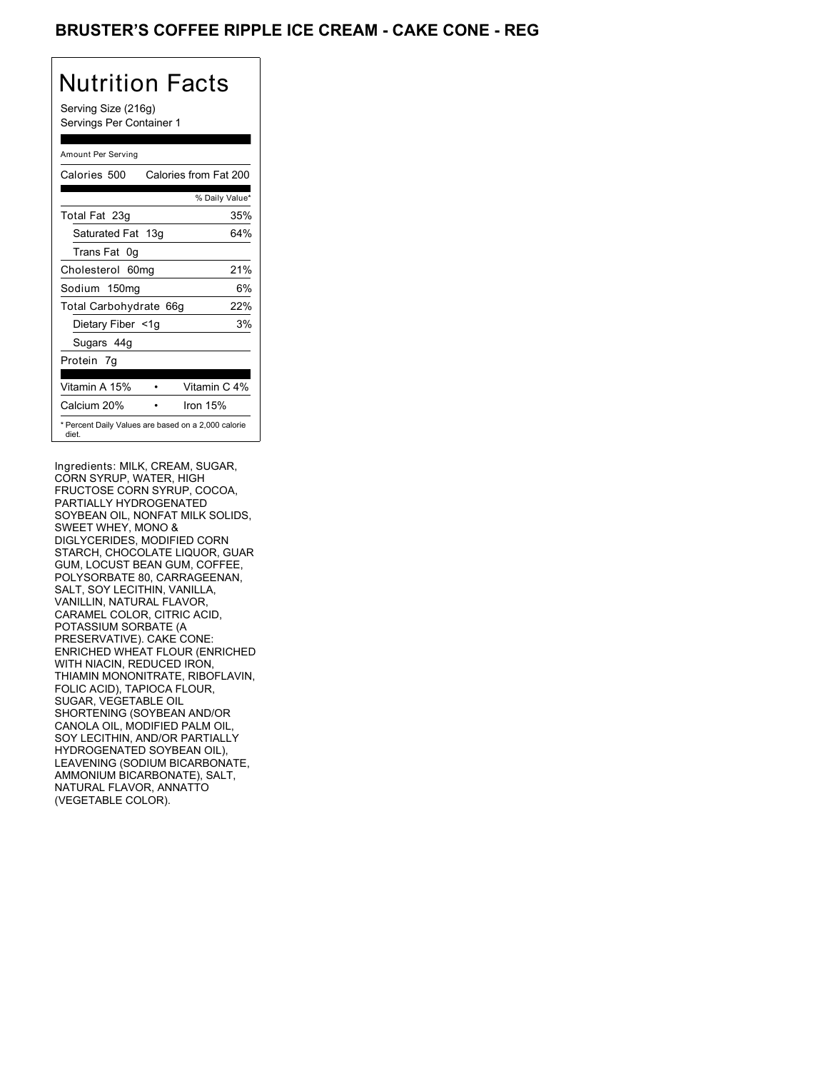## BRUSTER'S COFFEE RIPPLE ICE CREAM - CAKE CONE - REG

## Nutrition Facts

Serving Size (216g) Servings Per Container 1

### Amount Per Serving

| Calories 500                                                 | Calories from Fat 200 |
|--------------------------------------------------------------|-----------------------|
|                                                              | % Daily Value*        |
| Total Fat 23g                                                | 35%                   |
| Saturated Fat 13g                                            | 64%                   |
| Trans Fat 0q                                                 |                       |
| Cholesterol 60mg                                             | 21%                   |
| Sodium 150mg                                                 | 6%                    |
| Total Carbohydrate 66g                                       | 22%                   |
| Dietary Fiber <1g                                            | 3%                    |
| Sugars 44g                                                   |                       |
| Protein 7q                                                   |                       |
| Vitamin A 15%                                                | Vitamin C 4%          |
| Calcium 20%                                                  | Iron $15%$            |
| * Percent Daily Values are based on a 2,000 calorie<br>diet. |                       |

Ingredients: MILK, CREAM, SUGAR, CORN SYRUP, WATER, HIGH FRUCTOSE CORN SYRUP, COCOA, PARTIALLY HYDROGENATED SOYBEAN OIL, NONFAT MILK SOLIDS, SWEET WHEY, MONO & DIGLYCERIDES, MODIFIED CORN STARCH, CHOCOLATE LIQUOR, GUAR GUM, LOCUST BEAN GUM, COFFEE, POLYSORBATE 80, CARRAGEENAN, SALT, SOY LECITHIN, VANILLA, VANILLIN, NATURAL FLAVOR, CARAMEL COLOR, CITRIC ACID, POTASSIUM SORBATE (A PRESERVATIVE). CAKE CONE: ENRICHED WHEAT FLOUR (ENRICHED WITH NIACIN, REDUCED IRON, THIAMIN MONONITRATE, RIBOFLAVIN, FOLIC ACID), TAPIOCA FLOUR, SUGAR, VEGETABLE OIL SHORTENING (SOYBEAN AND/OR CANOLA OIL, MODIFIED PALM OIL, SOY LECITHIN, AND/OR PARTIALLY HYDROGENATED SOYBEAN OIL), LEAVENING (SODIUM BICARBONATE, AMMONIUM BICARBONATE), SALT, NATURAL FLAVOR, ANNATTO (VEGETABLE COLOR).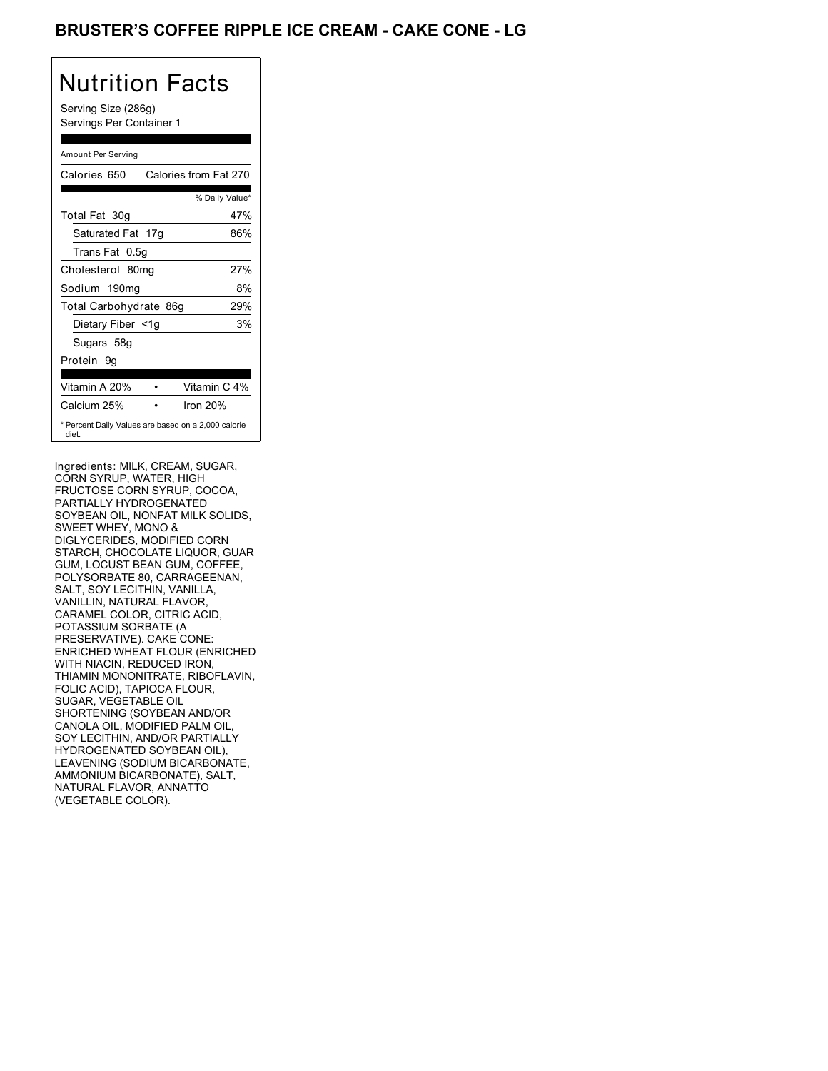## BRUSTER'S COFFEE RIPPLE ICE CREAM - CAKE CONE - LG

# Nutrition Facts

Serving Size (286g) Servings Per Container 1

### Amount Per Serving

| Calories 650           | Calories from Fat 270                               |
|------------------------|-----------------------------------------------------|
|                        | % Daily Value*                                      |
| Total Fat 30g          | 47%                                                 |
| Saturated Fat 17g      | 86%                                                 |
| Trans Fat 0.5g         |                                                     |
| Cholesterol 80mg       | 27%                                                 |
| Sodium 190mg           | 8%                                                  |
| Total Carbohydrate 86g | 29%                                                 |
| Dietary Fiber <1g      | 3%                                                  |
| Sugars 58g             |                                                     |
| Protein 9q             |                                                     |
| Vitamin A 20%          | Vitamin C 4%                                        |
| Calcium 25%            | Iron $20%$                                          |
| diet.                  | * Percent Daily Values are based on a 2,000 calorie |

Ingredients: MILK, CREAM, SUGAR, CORN SYRUP, WATER, HIGH FRUCTOSE CORN SYRUP, COCOA, PARTIALLY HYDROGENATED SOYBEAN OIL, NONFAT MILK SOLIDS, SWEET WHEY, MONO & DIGLYCERIDES, MODIFIED CORN STARCH, CHOCOLATE LIQUOR, GUAR GUM, LOCUST BEAN GUM, COFFEE, POLYSORBATE 80, CARRAGEENAN, SALT, SOY LECITHIN, VANILLA, VANILLIN, NATURAL FLAVOR, CARAMEL COLOR, CITRIC ACID, POTASSIUM SORBATE (A PRESERVATIVE). CAKE CONE: ENRICHED WHEAT FLOUR (ENRICHED WITH NIACIN, REDUCED IRON, THIAMIN MONONITRATE, RIBOFLAVIN, FOLIC ACID), TAPIOCA FLOUR, SUGAR, VEGETABLE OIL SHORTENING (SOYBEAN AND/OR CANOLA OIL, MODIFIED PALM OIL, SOY LECITHIN, AND/OR PARTIALLY HYDROGENATED SOYBEAN OIL), LEAVENING (SODIUM BICARBONATE, AMMONIUM BICARBONATE), SALT, NATURAL FLAVOR, ANNATTO (VEGETABLE COLOR).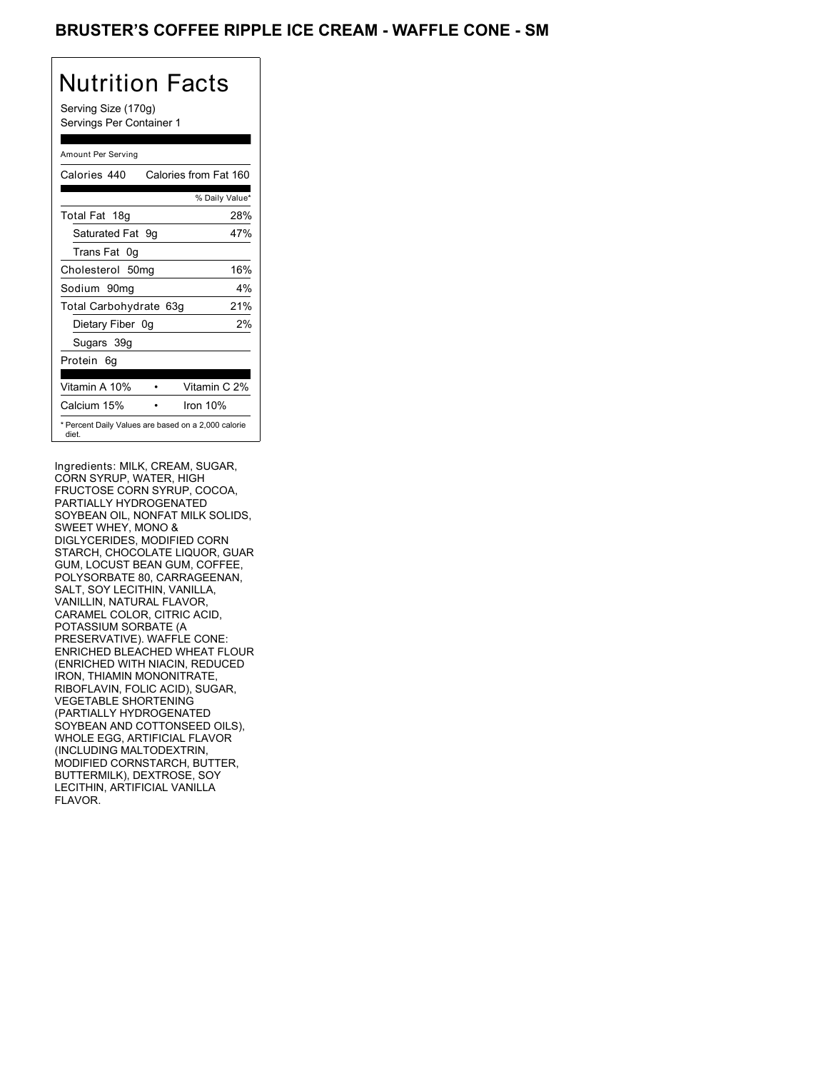## BRUSTER'S COFFEE RIPPLE ICE CREAM - WAFFLE CONE - SM

# Nutrition Facts

Serving Size (170g) Servings Per Container 1

### Amount Per Serving

| Calories 440                                                 |  | Calories from Fat 160 |
|--------------------------------------------------------------|--|-----------------------|
|                                                              |  | % Daily Value*        |
| Total Fat 18g                                                |  | 28%                   |
| Saturated Fat 9q                                             |  | 47%                   |
| Trans Fat 0q                                                 |  |                       |
| Cholesterol 50mg                                             |  | 16%                   |
| Sodium 90mq                                                  |  | $4\%$                 |
| Total Carbohydrate 63g                                       |  | 21%                   |
| Dietary Fiber 0g                                             |  | 2%                    |
| Sugars 39g                                                   |  |                       |
| Protein 6g                                                   |  |                       |
| Vitamin A 10%                                                |  | Vitamin C 2%          |
| Calcium 15%                                                  |  | Iron 10%              |
| * Percent Daily Values are based on a 2,000 calorie<br>diet. |  |                       |

Ingredients: MILK, CREAM, SUGAR, CORN SYRUP, WATER, HIGH FRUCTOSE CORN SYRUP, COCOA, PARTIALLY HYDROGENATED SOYBEAN OIL, NONFAT MILK SOLIDS, SWEET WHEY, MONO & DIGLYCERIDES, MODIFIED CORN STARCH, CHOCOLATE LIQUOR, GUAR GUM, LOCUST BEAN GUM, COFFEE, POLYSORBATE 80, CARRAGEENAN, SALT, SOY LECITHIN, VANILLA, VANILLIN, NATURAL FLAVOR, CARAMEL COLOR, CITRIC ACID, POTASSIUM SORBATE (A PRESERVATIVE). WAFFLE CONE: ENRICHED BLEACHED WHEAT FLOUR (ENRICHED WITH NIACIN, REDUCED IRON, THIAMIN MONONITRATE, RIBOFLAVIN, FOLIC ACID), SUGAR, VEGETABLE SHORTENING (PARTIALLY HYDROGENATED SOYBEAN AND COTTONSEED OILS), WHOLE EGG, ARTIFICIAL FLAVOR (INCLUDING MALTODEXTRIN, MODIFIED CORNSTARCH, BUTTER, BUTTERMILK), DEXTROSE, SOY LECITHIN, ARTIFICIAL VANILLA FLAVOR.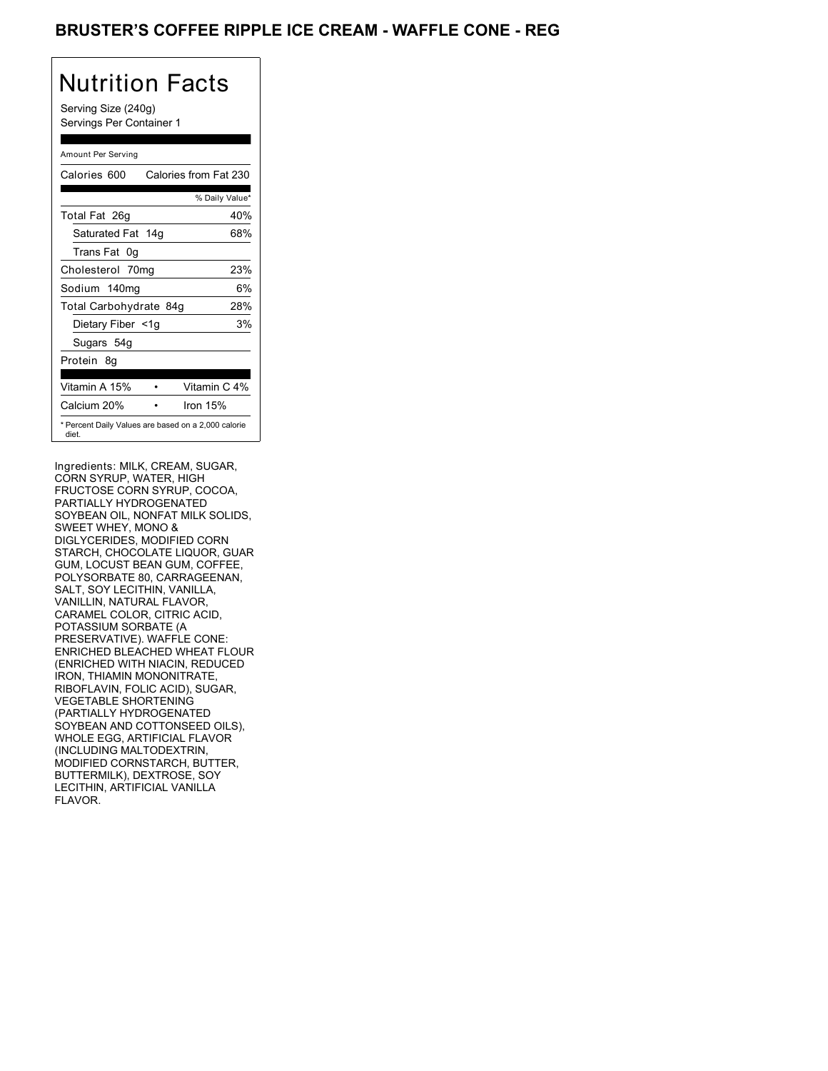## BRUSTER'S COFFEE RIPPLE ICE CREAM - WAFFLE CONE - REG

## Nutrition Facts

Serving Size (240g) Servings Per Container 1

### Amount Per Serving

| Calories 600                                                 | Calories from Fat 230 |
|--------------------------------------------------------------|-----------------------|
|                                                              | % Daily Value*        |
| Total Fat 26g                                                | 40%                   |
| Saturated Fat 14g                                            | 68%                   |
| Trans Fat 0q                                                 |                       |
| Cholesterol 70mg                                             | 23%                   |
| Sodium 140mg                                                 | 6%                    |
| Total Carbohydrate 84g                                       | 28%                   |
| Dietary Fiber <1g                                            | 3%                    |
| Sugars 54g                                                   |                       |
| Protein 8q                                                   |                       |
| Vitamin A 15%                                                | Vitamin C 4%          |
| Calcium 20%                                                  | Iron $15%$            |
| * Percent Daily Values are based on a 2,000 calorie<br>diet. |                       |

Ingredients: MILK, CREAM, SUGAR, CORN SYRUP, WATER, HIGH FRUCTOSE CORN SYRUP, COCOA, PARTIALLY HYDROGENATED SOYBEAN OIL, NONFAT MILK SOLIDS, SWEET WHEY, MONO & DIGLYCERIDES, MODIFIED CORN STARCH, CHOCOLATE LIQUOR, GUAR GUM, LOCUST BEAN GUM, COFFEE, POLYSORBATE 80, CARRAGEENAN, SALT, SOY LECITHIN, VANILLA, VANILLIN, NATURAL FLAVOR, CARAMEL COLOR, CITRIC ACID, POTASSIUM SORBATE (A PRESERVATIVE). WAFFLE CONE: ENRICHED BLEACHED WHEAT FLOUR (ENRICHED WITH NIACIN, REDUCED IRON, THIAMIN MONONITRATE, RIBOFLAVIN, FOLIC ACID), SUGAR, VEGETABLE SHORTENING (PARTIALLY HYDROGENATED SOYBEAN AND COTTONSEED OILS), WHOLE EGG, ARTIFICIAL FLAVOR (INCLUDING MALTODEXTRIN, MODIFIED CORNSTARCH, BUTTER, BUTTERMILK), DEXTROSE, SOY LECITHIN, ARTIFICIAL VANILLA FLAVOR.